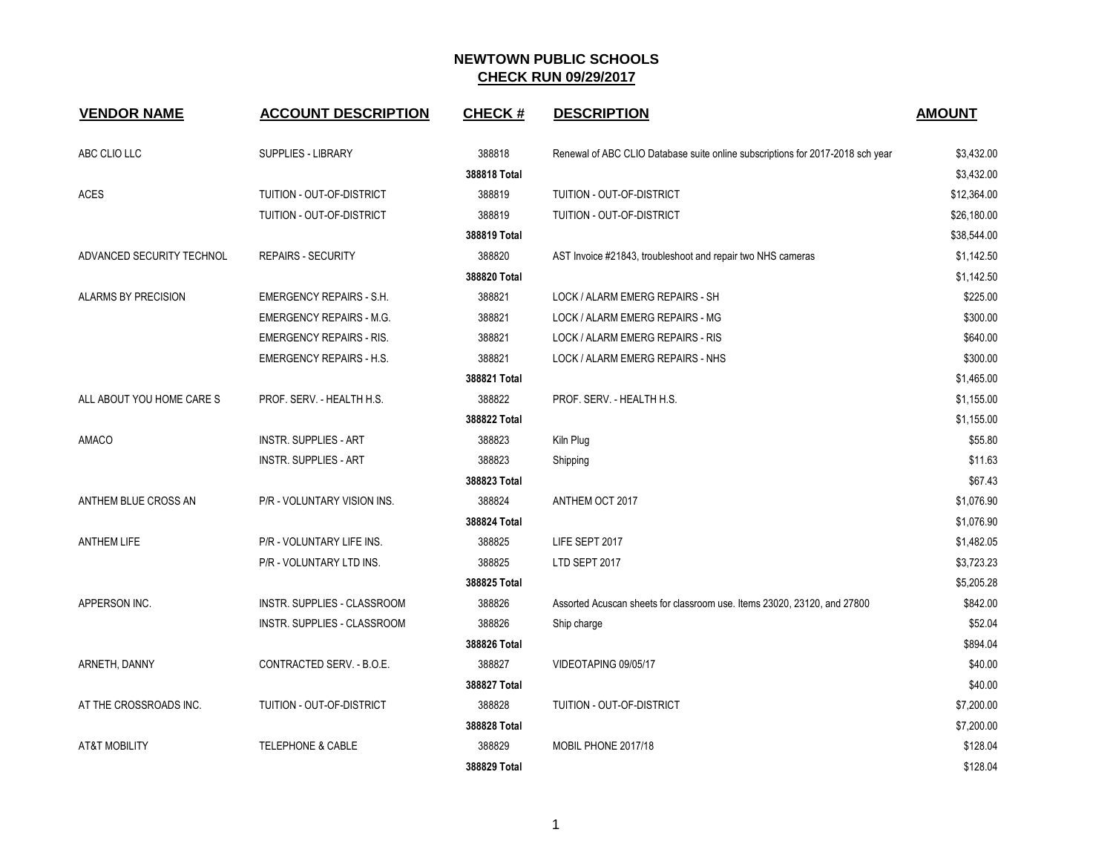| <b>VENDOR NAME</b>        | <b>ACCOUNT DESCRIPTION</b>      | <b>CHECK#</b> | <b>DESCRIPTION</b>                                                             | <b>AMOUNT</b> |
|---------------------------|---------------------------------|---------------|--------------------------------------------------------------------------------|---------------|
| ABC CLIO LLC              | SUPPLIES - LIBRARY              | 388818        | Renewal of ABC CLIO Database suite online subscriptions for 2017-2018 sch year | \$3,432.00    |
|                           |                                 | 388818 Total  |                                                                                | \$3,432.00    |
| <b>ACES</b>               | TUITION - OUT-OF-DISTRICT       | 388819        | TUITION - OUT-OF-DISTRICT                                                      | \$12,364.00   |
|                           | TUITION - OUT-OF-DISTRICT       | 388819        | TUITION - OUT-OF-DISTRICT                                                      | \$26,180.00   |
|                           |                                 | 388819 Total  |                                                                                | \$38,544.00   |
| ADVANCED SECURITY TECHNOL | <b>REPAIRS - SECURITY</b>       | 388820        | AST Invoice #21843, troubleshoot and repair two NHS cameras                    | \$1,142.50    |
|                           |                                 | 388820 Total  |                                                                                | \$1,142.50    |
| ALARMS BY PRECISION       | <b>EMERGENCY REPAIRS - S.H.</b> | 388821        | LOCK / ALARM EMERG REPAIRS - SH                                                | \$225.00      |
|                           | <b>EMERGENCY REPAIRS - M.G.</b> | 388821        | LOCK / ALARM EMERG REPAIRS - MG                                                | \$300.00      |
|                           | <b>EMERGENCY REPAIRS - RIS.</b> | 388821        | LOCK / ALARM EMERG REPAIRS - RIS                                               | \$640.00      |
|                           | <b>EMERGENCY REPAIRS - H.S.</b> | 388821        | LOCK / ALARM EMERG REPAIRS - NHS                                               | \$300.00      |
|                           |                                 | 388821 Total  |                                                                                | \$1,465.00    |
| ALL ABOUT YOU HOME CARE S | PROF. SERV. - HEALTH H.S.       | 388822        | PROF. SERV. - HEALTH H.S.                                                      | \$1,155.00    |
|                           |                                 | 388822 Total  |                                                                                | \$1,155.00    |
| AMACO                     | <b>INSTR. SUPPLIES - ART</b>    | 388823        | Kiln Plug                                                                      | \$55.80       |
|                           | <b>INSTR. SUPPLIES - ART</b>    | 388823        | Shipping                                                                       | \$11.63       |
|                           |                                 | 388823 Total  |                                                                                | \$67.43       |
| ANTHEM BLUE CROSS AN      | P/R - VOLUNTARY VISION INS.     | 388824        | ANTHEM OCT 2017                                                                | \$1,076.90    |
|                           |                                 | 388824 Total  |                                                                                | \$1,076.90    |
| <b>ANTHEM LIFE</b>        | P/R - VOLUNTARY LIFE INS.       | 388825        | LIFE SEPT 2017                                                                 | \$1,482.05    |
|                           | P/R - VOLUNTARY LTD INS.        | 388825        | LTD SEPT 2017                                                                  | \$3,723.23    |
|                           |                                 | 388825 Total  |                                                                                | \$5,205.28    |
| APPERSON INC.             | INSTR. SUPPLIES - CLASSROOM     | 388826        | Assorted Acuscan sheets for classroom use. Items 23020, 23120, and 27800       | \$842.00      |
|                           | INSTR. SUPPLIES - CLASSROOM     | 388826        | Ship charge                                                                    | \$52.04       |
|                           |                                 | 388826 Total  |                                                                                | \$894.04      |
| ARNETH, DANNY             | CONTRACTED SERV. - B.O.E.       | 388827        | VIDEOTAPING 09/05/17                                                           | \$40.00       |
|                           |                                 | 388827 Total  |                                                                                | \$40.00       |
| AT THE CROSSROADS INC.    | TUITION - OUT-OF-DISTRICT       | 388828        | TUITION - OUT-OF-DISTRICT                                                      | \$7,200.00    |
|                           |                                 | 388828 Total  |                                                                                | \$7,200.00    |
| <b>AT&amp;T MOBILITY</b>  | <b>TELEPHONE &amp; CABLE</b>    | 388829        | MOBIL PHONE 2017/18                                                            | \$128.04      |
|                           |                                 | 388829 Total  |                                                                                | \$128.04      |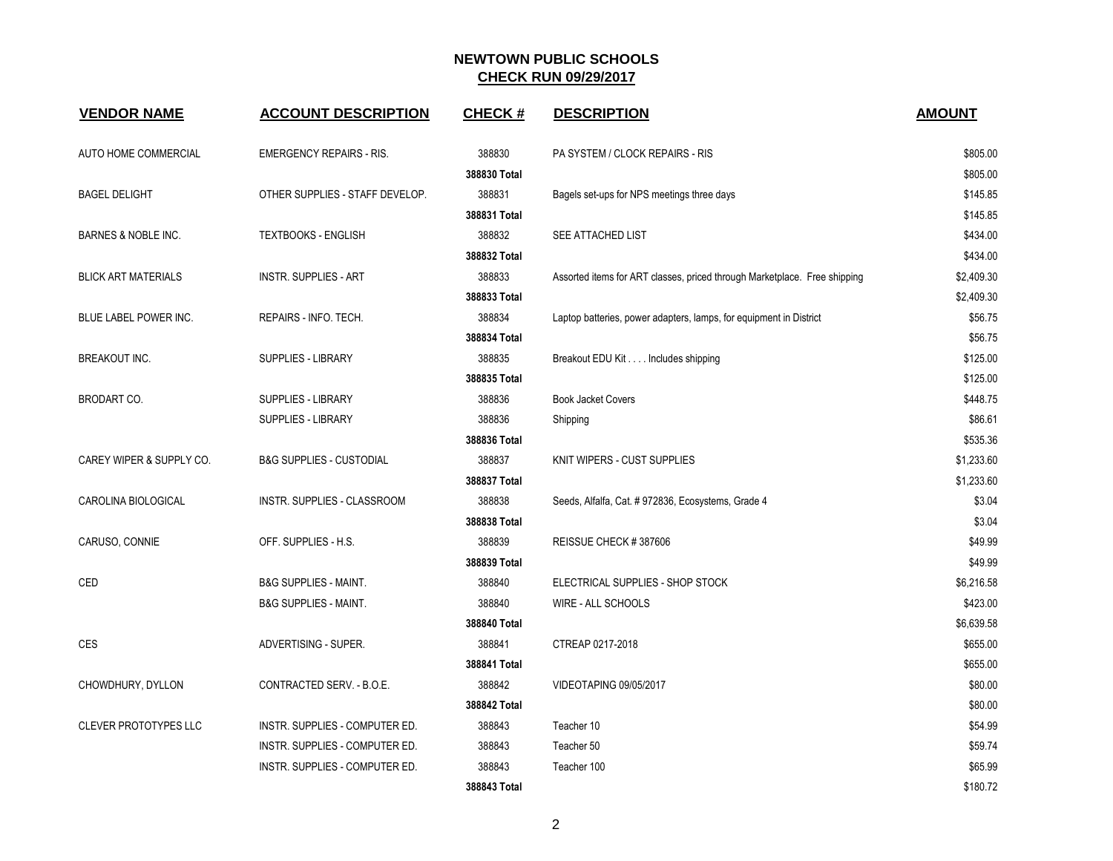| <b>VENDOR NAME</b>           | <b>ACCOUNT DESCRIPTION</b>          | <b>CHECK#</b> | <b>DESCRIPTION</b>                                                        | <b>AMOUNT</b> |
|------------------------------|-------------------------------------|---------------|---------------------------------------------------------------------------|---------------|
| AUTO HOME COMMERCIAL         | <b>EMERGENCY REPAIRS - RIS.</b>     | 388830        | PA SYSTEM / CLOCK REPAIRS - RIS                                           | \$805.00      |
|                              |                                     | 388830 Total  |                                                                           | \$805.00      |
| <b>BAGEL DELIGHT</b>         | OTHER SUPPLIES - STAFF DEVELOP.     | 388831        | Bagels set-ups for NPS meetings three days                                | \$145.85      |
|                              |                                     | 388831 Total  |                                                                           | \$145.85      |
| BARNES & NOBLE INC.          | <b>TEXTBOOKS - ENGLISH</b>          | 388832        | SEE ATTACHED LIST                                                         | \$434.00      |
|                              |                                     | 388832 Total  |                                                                           | \$434.00      |
| <b>BLICK ART MATERIALS</b>   | <b>INSTR. SUPPLIES - ART</b>        | 388833        | Assorted items for ART classes, priced through Marketplace. Free shipping | \$2,409.30    |
|                              |                                     | 388833 Total  |                                                                           | \$2,409.30    |
| BLUE LABEL POWER INC.        | REPAIRS - INFO. TECH.               | 388834        | Laptop batteries, power adapters, lamps, for equipment in District        | \$56.75       |
|                              |                                     | 388834 Total  |                                                                           | \$56.75       |
| <b>BREAKOUT INC.</b>         | <b>SUPPLIES - LIBRARY</b>           | 388835        | Breakout EDU Kit Includes shipping                                        | \$125.00      |
|                              |                                     | 388835 Total  |                                                                           | \$125.00      |
| <b>BRODART CO.</b>           | SUPPLIES - LIBRARY                  | 388836        | <b>Book Jacket Covers</b>                                                 | \$448.75      |
|                              | <b>SUPPLIES - LIBRARY</b>           | 388836        | Shipping                                                                  | \$86.61       |
|                              |                                     | 388836 Total  |                                                                           | \$535.36      |
| CAREY WIPER & SUPPLY CO.     | <b>B&amp;G SUPPLIES - CUSTODIAL</b> | 388837        | KNIT WIPERS - CUST SUPPLIES                                               | \$1,233.60    |
|                              |                                     | 388837 Total  |                                                                           | \$1,233.60    |
| CAROLINA BIOLOGICAL          | INSTR. SUPPLIES - CLASSROOM         | 388838        | Seeds, Alfalfa, Cat. # 972836, Ecosystems, Grade 4                        | \$3.04        |
|                              |                                     | 388838 Total  |                                                                           | \$3.04        |
| CARUSO, CONNIE               | OFF. SUPPLIES - H.S.                | 388839        | REISSUE CHECK #387606                                                     | \$49.99       |
|                              |                                     | 388839 Total  |                                                                           | \$49.99       |
| CED                          | <b>B&amp;G SUPPLIES - MAINT.</b>    | 388840        | ELECTRICAL SUPPLIES - SHOP STOCK                                          | \$6,216.58    |
|                              | <b>B&amp;G SUPPLIES - MAINT.</b>    | 388840        | WIRE - ALL SCHOOLS                                                        | \$423.00      |
|                              |                                     | 388840 Total  |                                                                           | \$6,639.58    |
| CES                          | ADVERTISING - SUPER.                | 388841        | CTREAP 0217-2018                                                          | \$655.00      |
|                              |                                     | 388841 Total  |                                                                           | \$655.00      |
| CHOWDHURY, DYLLON            | CONTRACTED SERV. - B.O.E.           | 388842        | VIDEOTAPING 09/05/2017                                                    | \$80.00       |
|                              |                                     | 388842 Total  |                                                                           | \$80.00       |
| <b>CLEVER PROTOTYPES LLC</b> | INSTR. SUPPLIES - COMPUTER ED.      | 388843        | Teacher 10                                                                | \$54.99       |
|                              | INSTR. SUPPLIES - COMPUTER ED.      | 388843        | Teacher 50                                                                | \$59.74       |
|                              | INSTR. SUPPLIES - COMPUTER ED.      | 388843        | Teacher 100                                                               | \$65.99       |
|                              |                                     | 388843 Total  |                                                                           | \$180.72      |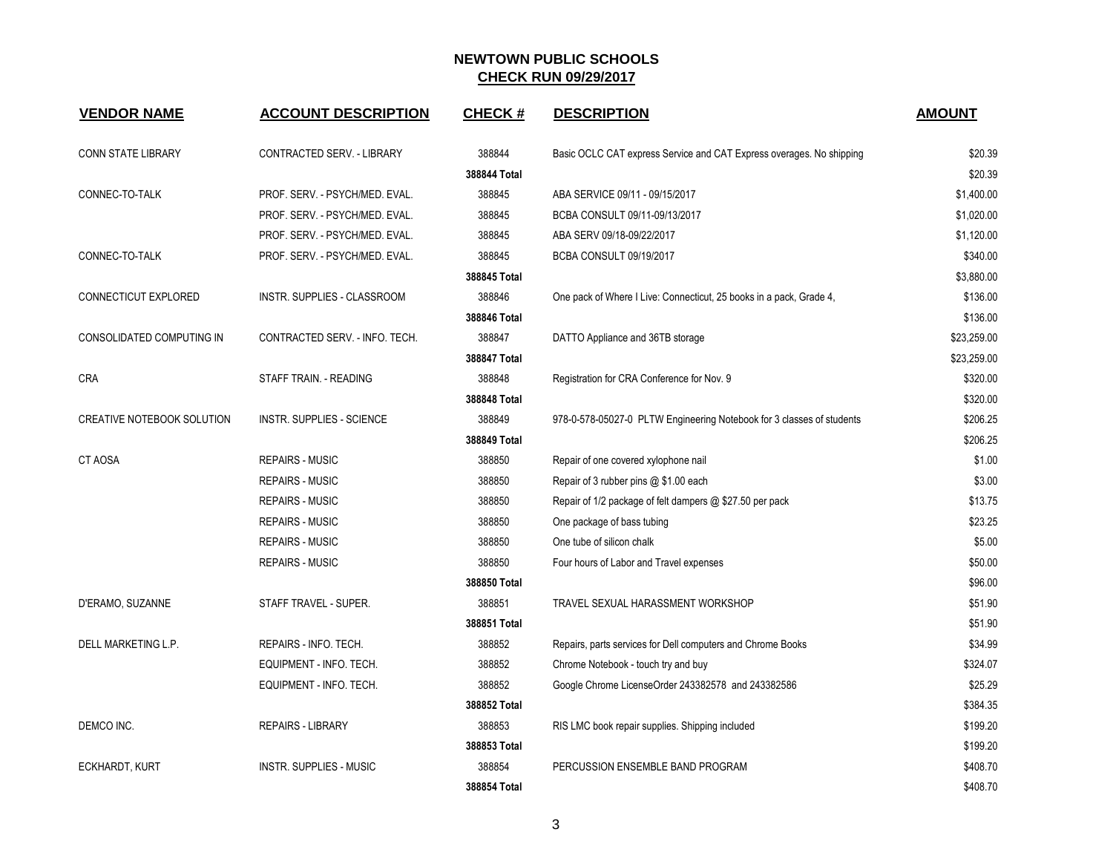| <b>VENDOR NAME</b>         | <b>ACCOUNT DESCRIPTION</b>     | <b>CHECK#</b> | <b>DESCRIPTION</b>                                                    | <b>AMOUNT</b> |
|----------------------------|--------------------------------|---------------|-----------------------------------------------------------------------|---------------|
| <b>CONN STATE LIBRARY</b>  | CONTRACTED SERV. - LIBRARY     | 388844        | Basic OCLC CAT express Service and CAT Express overages. No shipping  | \$20.39       |
|                            |                                | 388844 Total  |                                                                       | \$20.39       |
| CONNEC-TO-TALK             | PROF. SERV. - PSYCH/MED. EVAL. | 388845        | ABA SERVICE 09/11 - 09/15/2017                                        | \$1,400.00    |
|                            | PROF. SERV. - PSYCH/MED. EVAL. | 388845        | BCBA CONSULT 09/11-09/13/2017                                         | \$1,020.00    |
|                            | PROF. SERV. - PSYCH/MED. EVAL. | 388845        | ABA SERV 09/18-09/22/2017                                             | \$1,120.00    |
| CONNEC-TO-TALK             | PROF. SERV. - PSYCH/MED. EVAL. | 388845        | BCBA CONSULT 09/19/2017                                               | \$340.00      |
|                            |                                | 388845 Total  |                                                                       | \$3,880.00    |
| CONNECTICUT EXPLORED       | INSTR. SUPPLIES - CLASSROOM    | 388846        | One pack of Where I Live: Connecticut, 25 books in a pack, Grade 4,   | \$136.00      |
|                            |                                | 388846 Total  |                                                                       | \$136.00      |
| CONSOLIDATED COMPUTING IN  | CONTRACTED SERV. - INFO. TECH. | 388847        | DATTO Appliance and 36TB storage                                      | \$23,259.00   |
|                            |                                | 388847 Total  |                                                                       | \$23,259.00   |
| <b>CRA</b>                 | STAFF TRAIN. - READING         | 388848        | Registration for CRA Conference for Nov. 9                            | \$320.00      |
|                            |                                | 388848 Total  |                                                                       | \$320.00      |
| CREATIVE NOTEBOOK SOLUTION | INSTR. SUPPLIES - SCIENCE      | 388849        | 978-0-578-05027-0 PLTW Engineering Notebook for 3 classes of students | \$206.25      |
|                            |                                | 388849 Total  |                                                                       | \$206.25      |
| <b>CT AOSA</b>             | <b>REPAIRS - MUSIC</b>         | 388850        | Repair of one covered xylophone nail                                  | \$1.00        |
|                            | <b>REPAIRS - MUSIC</b>         | 388850        | Repair of 3 rubber pins @ \$1.00 each                                 | \$3.00        |
|                            | <b>REPAIRS - MUSIC</b>         | 388850        | Repair of 1/2 package of felt dampers @ \$27.50 per pack              | \$13.75       |
|                            | <b>REPAIRS - MUSIC</b>         | 388850        | One package of bass tubing                                            | \$23.25       |
|                            | <b>REPAIRS - MUSIC</b>         | 388850        | One tube of silicon chalk                                             | \$5.00        |
|                            | <b>REPAIRS - MUSIC</b>         | 388850        | Four hours of Labor and Travel expenses                               | \$50.00       |
|                            |                                | 388850 Total  |                                                                       | \$96.00       |
| D'ERAMO, SUZANNE           | STAFF TRAVEL - SUPER.          | 388851        | TRAVEL SEXUAL HARASSMENT WORKSHOP                                     | \$51.90       |
|                            |                                | 388851 Total  |                                                                       | \$51.90       |
| DELL MARKETING L.P.        | REPAIRS - INFO. TECH.          | 388852        | Repairs, parts services for Dell computers and Chrome Books           | \$34.99       |
|                            | EQUIPMENT - INFO. TECH.        | 388852        | Chrome Notebook - touch try and buy                                   | \$324.07      |
|                            | EQUIPMENT - INFO. TECH.        | 388852        | Google Chrome LicenseOrder 243382578 and 243382586                    | \$25.29       |
|                            |                                | 388852 Total  |                                                                       | \$384.35      |
| DEMCO INC.                 | <b>REPAIRS - LIBRARY</b>       | 388853        | RIS LMC book repair supplies. Shipping included                       | \$199.20      |
|                            |                                | 388853 Total  |                                                                       | \$199.20      |
| <b>ECKHARDT, KURT</b>      | <b>INSTR. SUPPLIES - MUSIC</b> | 388854        | PERCUSSION ENSEMBLE BAND PROGRAM                                      | \$408.70      |
|                            |                                | 388854 Total  |                                                                       | \$408.70      |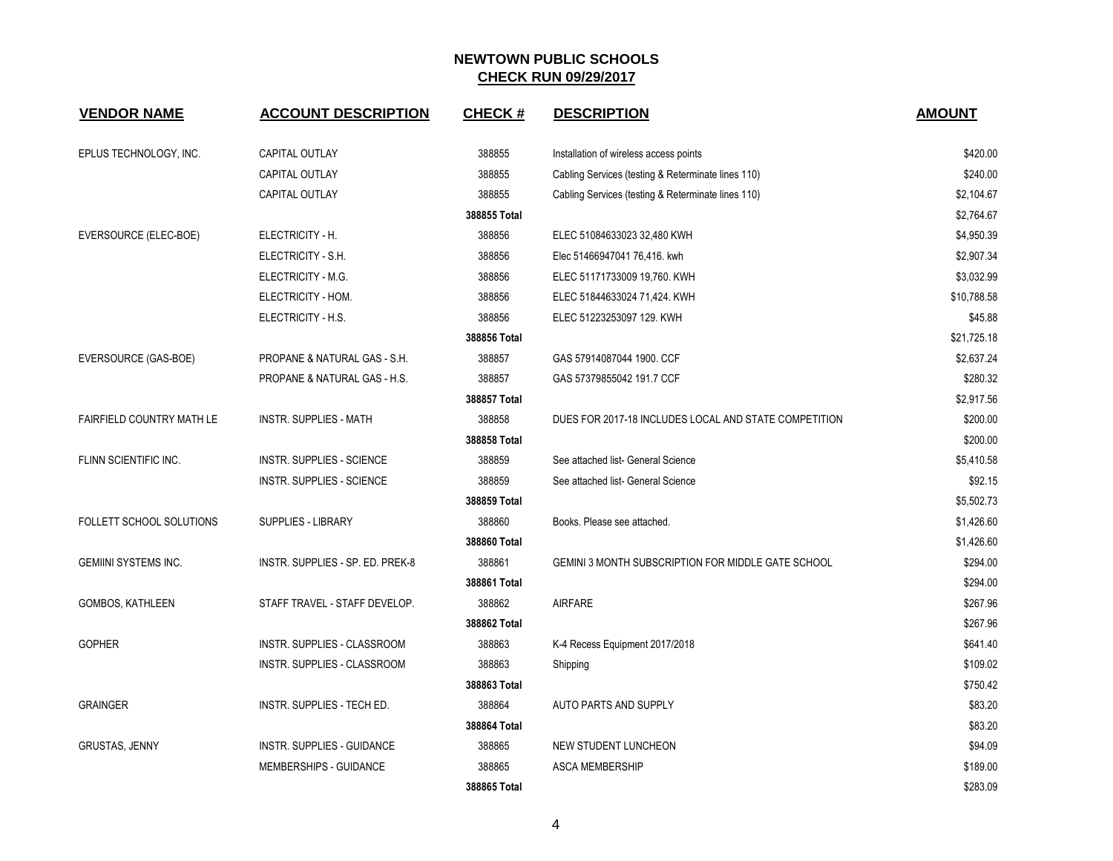| <b>VENDOR NAME</b>               | <b>ACCOUNT DESCRIPTION</b>       | <b>CHECK#</b> | <b>DESCRIPTION</b>                                    | <b>AMOUNT</b> |
|----------------------------------|----------------------------------|---------------|-------------------------------------------------------|---------------|
| EPLUS TECHNOLOGY, INC.           | <b>CAPITAL OUTLAY</b>            | 388855        | Installation of wireless access points                | \$420.00      |
|                                  | CAPITAL OUTLAY                   | 388855        | Cabling Services (testing & Reterminate lines 110)    | \$240.00      |
|                                  | CAPITAL OUTLAY                   | 388855        | Cabling Services (testing & Reterminate lines 110)    | \$2,104.67    |
|                                  |                                  | 388855 Total  |                                                       | \$2,764.67    |
| EVERSOURCE (ELEC-BOE)            | ELECTRICITY - H.                 | 388856        | ELEC 51084633023 32,480 KWH                           | \$4,950.39    |
|                                  | ELECTRICITY - S.H.               | 388856        | Elec 51466947041 76,416. kwh                          | \$2,907.34    |
|                                  | ELECTRICITY - M.G.               | 388856        | ELEC 51171733009 19,760. KWH                          | \$3,032.99    |
|                                  | ELECTRICITY - HOM.               | 388856        | ELEC 51844633024 71,424. KWH                          | \$10,788.58   |
|                                  | ELECTRICITY - H.S.               | 388856        | ELEC 51223253097 129. KWH                             | \$45.88       |
|                                  |                                  | 388856 Total  |                                                       | \$21,725.18   |
| EVERSOURCE (GAS-BOE)             | PROPANE & NATURAL GAS - S.H.     | 388857        | GAS 57914087044 1900. CCF                             | \$2,637.24    |
|                                  | PROPANE & NATURAL GAS - H.S.     | 388857        | GAS 57379855042 191.7 CCF                             | \$280.32      |
|                                  |                                  | 388857 Total  |                                                       | \$2,917.56    |
| <b>FAIRFIELD COUNTRY MATH LE</b> | <b>INSTR. SUPPLIES - MATH</b>    | 388858        | DUES FOR 2017-18 INCLUDES LOCAL AND STATE COMPETITION | \$200.00      |
|                                  |                                  | 388858 Total  |                                                       | \$200.00      |
| FLINN SCIENTIFIC INC.            | <b>INSTR. SUPPLIES - SCIENCE</b> | 388859        | See attached list- General Science                    | \$5,410.58    |
|                                  | <b>INSTR. SUPPLIES - SCIENCE</b> | 388859        | See attached list- General Science                    | \$92.15       |
|                                  |                                  | 388859 Total  |                                                       | \$5,502.73    |
| FOLLETT SCHOOL SOLUTIONS         | <b>SUPPLIES - LIBRARY</b>        | 388860        | Books. Please see attached.                           | \$1,426.60    |
|                                  |                                  | 388860 Total  |                                                       | \$1,426.60    |
| <b>GEMIINI SYSTEMS INC.</b>      | INSTR. SUPPLIES - SP. ED. PREK-8 | 388861        | GEMINI 3 MONTH SUBSCRIPTION FOR MIDDLE GATE SCHOOL    | \$294.00      |
|                                  |                                  | 388861 Total  |                                                       | \$294.00      |
| GOMBOS, KATHLEEN                 | STAFF TRAVEL - STAFF DEVELOP.    | 388862        | <b>AIRFARE</b>                                        | \$267.96      |
|                                  |                                  | 388862 Total  |                                                       | \$267.96      |
| <b>GOPHER</b>                    | INSTR. SUPPLIES - CLASSROOM      | 388863        | K-4 Recess Equipment 2017/2018                        | \$641.40      |
|                                  | INSTR. SUPPLIES - CLASSROOM      | 388863        | Shipping                                              | \$109.02      |
|                                  |                                  | 388863 Total  |                                                       | \$750.42      |
| <b>GRAINGER</b>                  | INSTR. SUPPLIES - TECH ED.       | 388864        | AUTO PARTS AND SUPPLY                                 | \$83.20       |
|                                  |                                  | 388864 Total  |                                                       | \$83.20       |
| <b>GRUSTAS, JENNY</b>            | INSTR. SUPPLIES - GUIDANCE       | 388865        | NEW STUDENT LUNCHEON                                  | \$94.09       |
|                                  | MEMBERSHIPS - GUIDANCE           | 388865        | <b>ASCA MEMBERSHIP</b>                                | \$189.00      |
|                                  |                                  | 388865 Total  |                                                       | \$283.09      |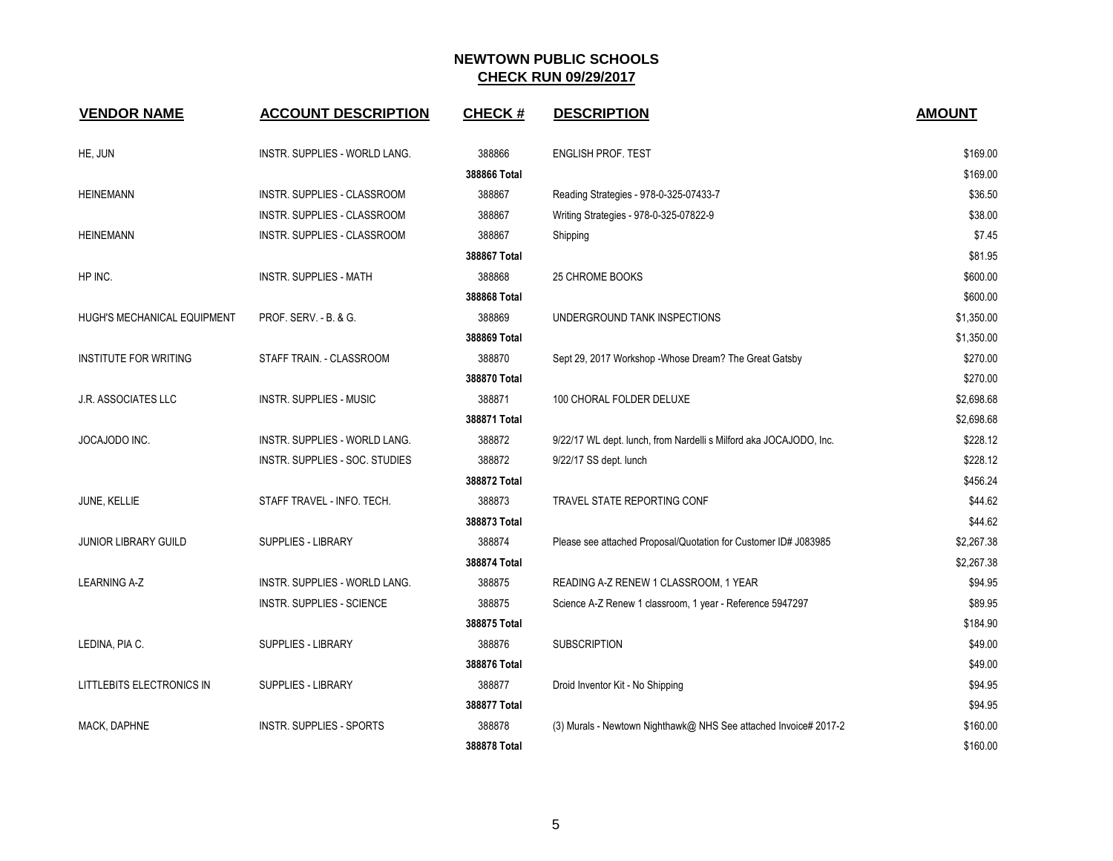| <b>VENDOR NAME</b>           | <b>ACCOUNT DESCRIPTION</b>           | <b>CHECK#</b> | <b>DESCRIPTION</b>                                                 | <b>AMOUNT</b> |
|------------------------------|--------------------------------------|---------------|--------------------------------------------------------------------|---------------|
| HE, JUN                      | INSTR. SUPPLIES - WORLD LANG.        | 388866        | ENGLISH PROF. TEST                                                 | \$169.00      |
|                              |                                      | 388866 Total  |                                                                    | \$169.00      |
| <b>HEINEMANN</b>             | INSTR. SUPPLIES - CLASSROOM          | 388867        | Reading Strategies - 978-0-325-07433-7                             | \$36.50       |
|                              | INSTR. SUPPLIES - CLASSROOM          | 388867        | Writing Strategies - 978-0-325-07822-9                             | \$38.00       |
| <b>HEINEMANN</b>             | INSTR. SUPPLIES - CLASSROOM          | 388867        | Shipping                                                           | \$7.45        |
|                              |                                      | 388867 Total  |                                                                    | \$81.95       |
| HP INC.                      | <b>INSTR. SUPPLIES - MATH</b>        | 388868        | <b>25 CHROME BOOKS</b>                                             | \$600.00      |
|                              |                                      | 388868 Total  |                                                                    | \$600.00      |
| HUGH'S MECHANICAL EQUIPMENT  | PROF. SERV. - B. & G.                | 388869        | UNDERGROUND TANK INSPECTIONS                                       | \$1,350.00    |
|                              |                                      | 388869 Total  |                                                                    | \$1,350.00    |
| <b>INSTITUTE FOR WRITING</b> | STAFF TRAIN. - CLASSROOM             | 388870        | Sept 29, 2017 Workshop - Whose Dream? The Great Gatsby             | \$270.00      |
|                              |                                      | 388870 Total  |                                                                    | \$270.00      |
| <b>J.R. ASSOCIATES LLC</b>   | <b>INSTR. SUPPLIES - MUSIC</b>       | 388871        | 100 CHORAL FOLDER DELUXE                                           | \$2,698.68    |
|                              |                                      | 388871 Total  |                                                                    | \$2,698.68    |
| JOCAJODO INC.                | <b>INSTR. SUPPLIES - WORLD LANG.</b> | 388872        | 9/22/17 WL dept. lunch, from Nardelli s Milford aka JOCAJODO, Inc. | \$228.12      |
|                              | INSTR. SUPPLIES - SOC. STUDIES       | 388872        | 9/22/17 SS dept. lunch                                             | \$228.12      |
|                              |                                      | 388872 Total  |                                                                    | \$456.24      |
| JUNE, KELLIE                 | STAFF TRAVEL - INFO. TECH.           | 388873        | TRAVEL STATE REPORTING CONF                                        | \$44.62       |
|                              |                                      | 388873 Total  |                                                                    | \$44.62       |
| <b>JUNIOR LIBRARY GUILD</b>  | <b>SUPPLIES - LIBRARY</b>            | 388874        | Please see attached Proposal/Quotation for Customer ID# J083985    | \$2,267.38    |
|                              |                                      | 388874 Total  |                                                                    | \$2,267.38    |
| <b>LEARNING A-Z</b>          | INSTR. SUPPLIES - WORLD LANG.        | 388875        | READING A-Z RENEW 1 CLASSROOM, 1 YEAR                              | \$94.95       |
|                              | <b>INSTR. SUPPLIES - SCIENCE</b>     | 388875        | Science A-Z Renew 1 classroom, 1 year - Reference 5947297          | \$89.95       |
|                              |                                      | 388875 Total  |                                                                    | \$184.90      |
| LEDINA, PIA C.               | SUPPLIES - LIBRARY                   | 388876        | <b>SUBSCRIPTION</b>                                                | \$49.00       |
|                              |                                      | 388876 Total  |                                                                    | \$49.00       |
| LITTLEBITS ELECTRONICS IN    | SUPPLIES - LIBRARY                   | 388877        | Droid Inventor Kit - No Shipping                                   | \$94.95       |
|                              |                                      | 388877 Total  |                                                                    | \$94.95       |
| MACK, DAPHNE                 | <b>INSTR. SUPPLIES - SPORTS</b>      | 388878        | (3) Murals - Newtown Nighthawk@ NHS See attached Invoice# 2017-2   | \$160.00      |
|                              |                                      | 388878 Total  |                                                                    | \$160.00      |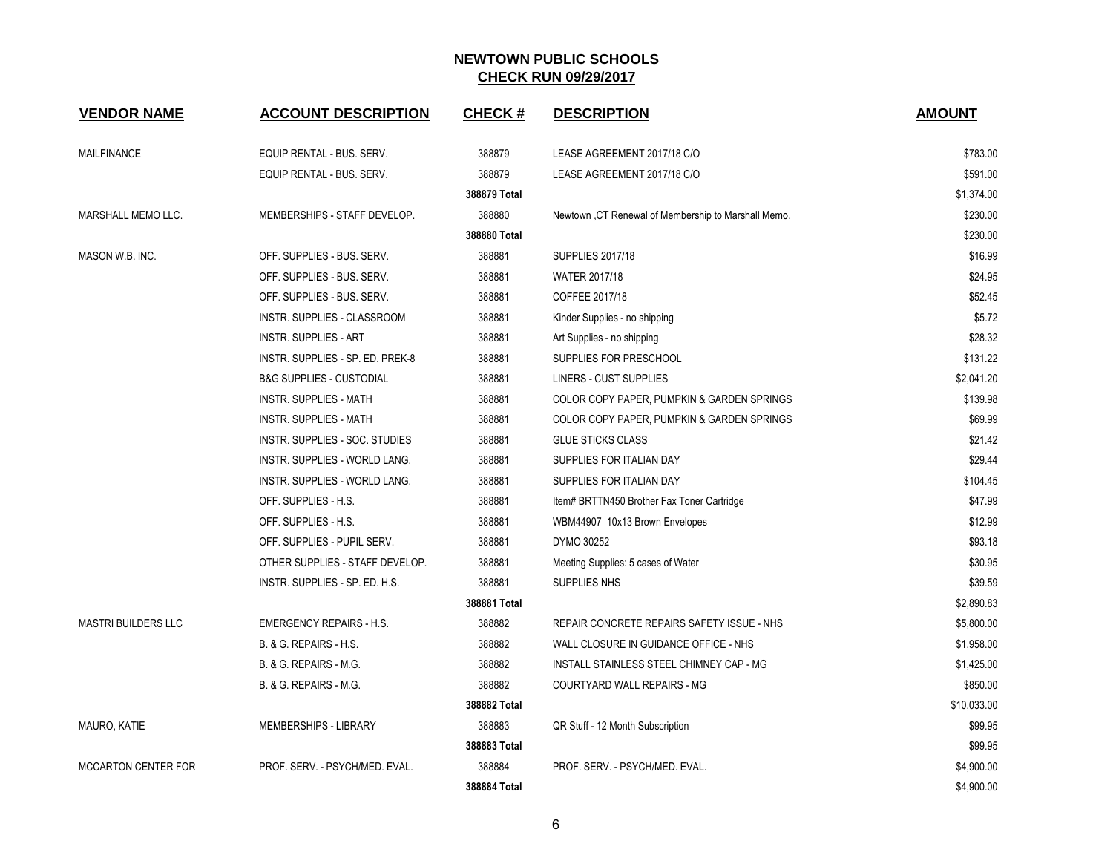| <b>VENDOR NAME</b>         | <b>ACCOUNT DESCRIPTION</b>          | <b>CHECK#</b> | <b>DESCRIPTION</b>                                   | <b>AMOUNT</b> |
|----------------------------|-------------------------------------|---------------|------------------------------------------------------|---------------|
| <b>MAILFINANCE</b>         | EQUIP RENTAL - BUS. SERV.           | 388879        | LEASE AGREEMENT 2017/18 C/O                          | \$783.00      |
|                            | EQUIP RENTAL - BUS. SERV.           | 388879        | LEASE AGREEMENT 2017/18 C/O                          | \$591.00      |
|                            |                                     | 388879 Total  |                                                      | \$1,374.00    |
| MARSHALL MEMO LLC.         | MEMBERSHIPS - STAFF DEVELOP.        | 388880        | Newtown , CT Renewal of Membership to Marshall Memo. | \$230.00      |
|                            |                                     | 388880 Total  |                                                      | \$230.00      |
| MASON W.B. INC.            | OFF. SUPPLIES - BUS. SERV.          | 388881        | <b>SUPPLIES 2017/18</b>                              | \$16.99       |
|                            | OFF. SUPPLIES - BUS. SERV.          | 388881        | WATER 2017/18                                        | \$24.95       |
|                            | OFF. SUPPLIES - BUS. SERV.          | 388881        | COFFEE 2017/18                                       | \$52.45       |
|                            | INSTR. SUPPLIES - CLASSROOM         | 388881        | Kinder Supplies - no shipping                        | \$5.72        |
|                            | <b>INSTR. SUPPLIES - ART</b>        | 388881        | Art Supplies - no shipping                           | \$28.32       |
|                            | INSTR. SUPPLIES - SP. ED. PREK-8    | 388881        | SUPPLIES FOR PRESCHOOL                               | \$131.22      |
|                            | <b>B&amp;G SUPPLIES - CUSTODIAL</b> | 388881        | LINERS - CUST SUPPLIES                               | \$2,041.20    |
|                            | INSTR. SUPPLIES - MATH              | 388881        | COLOR COPY PAPER, PUMPKIN & GARDEN SPRINGS           | \$139.98      |
|                            | INSTR. SUPPLIES - MATH              | 388881        | COLOR COPY PAPER, PUMPKIN & GARDEN SPRINGS           | \$69.99       |
|                            | INSTR. SUPPLIES - SOC. STUDIES      | 388881        | <b>GLUE STICKS CLASS</b>                             | \$21.42       |
|                            | INSTR. SUPPLIES - WORLD LANG.       | 388881        | SUPPLIES FOR ITALIAN DAY                             | \$29.44       |
|                            | INSTR. SUPPLIES - WORLD LANG.       | 388881        | SUPPLIES FOR ITALIAN DAY                             | \$104.45      |
|                            | OFF. SUPPLIES - H.S.                | 388881        | Item# BRTTN450 Brother Fax Toner Cartridge           | \$47.99       |
|                            | OFF. SUPPLIES - H.S.                | 388881        | WBM44907 10x13 Brown Envelopes                       | \$12.99       |
|                            | OFF. SUPPLIES - PUPIL SERV.         | 388881        | DYMO 30252                                           | \$93.18       |
|                            | OTHER SUPPLIES - STAFF DEVELOP.     | 388881        | Meeting Supplies: 5 cases of Water                   | \$30.95       |
|                            | INSTR. SUPPLIES - SP. ED. H.S.      | 388881        | SUPPLIES NHS                                         | \$39.59       |
|                            |                                     | 388881 Total  |                                                      | \$2,890.83    |
| <b>MASTRI BUILDERS LLC</b> | <b>EMERGENCY REPAIRS - H.S.</b>     | 388882        | REPAIR CONCRETE REPAIRS SAFETY ISSUE - NHS           | \$5.800.00    |
|                            | B. & G. REPAIRS - H.S.              | 388882        | WALL CLOSURE IN GUIDANCE OFFICE - NHS                | \$1,958.00    |
|                            | B. & G. REPAIRS - M.G.              | 388882        | INSTALL STAINLESS STEEL CHIMNEY CAP - MG             | \$1,425.00    |
|                            | B. & G. REPAIRS - M.G.              | 388882        | COURTYARD WALL REPAIRS - MG                          | \$850.00      |
|                            |                                     | 388882 Total  |                                                      | \$10,033.00   |
| MAURO, KATIE               | MEMBERSHIPS - LIBRARY               | 388883        | QR Stuff - 12 Month Subscription                     | \$99.95       |
|                            |                                     | 388883 Total  |                                                      | \$99.95       |
| <b>MCCARTON CENTER FOR</b> | PROF. SERV. - PSYCH/MED. EVAL.      | 388884        | PROF. SERV. - PSYCH/MED. EVAL.                       | \$4,900.00    |
|                            |                                     | 388884 Total  |                                                      | \$4,900.00    |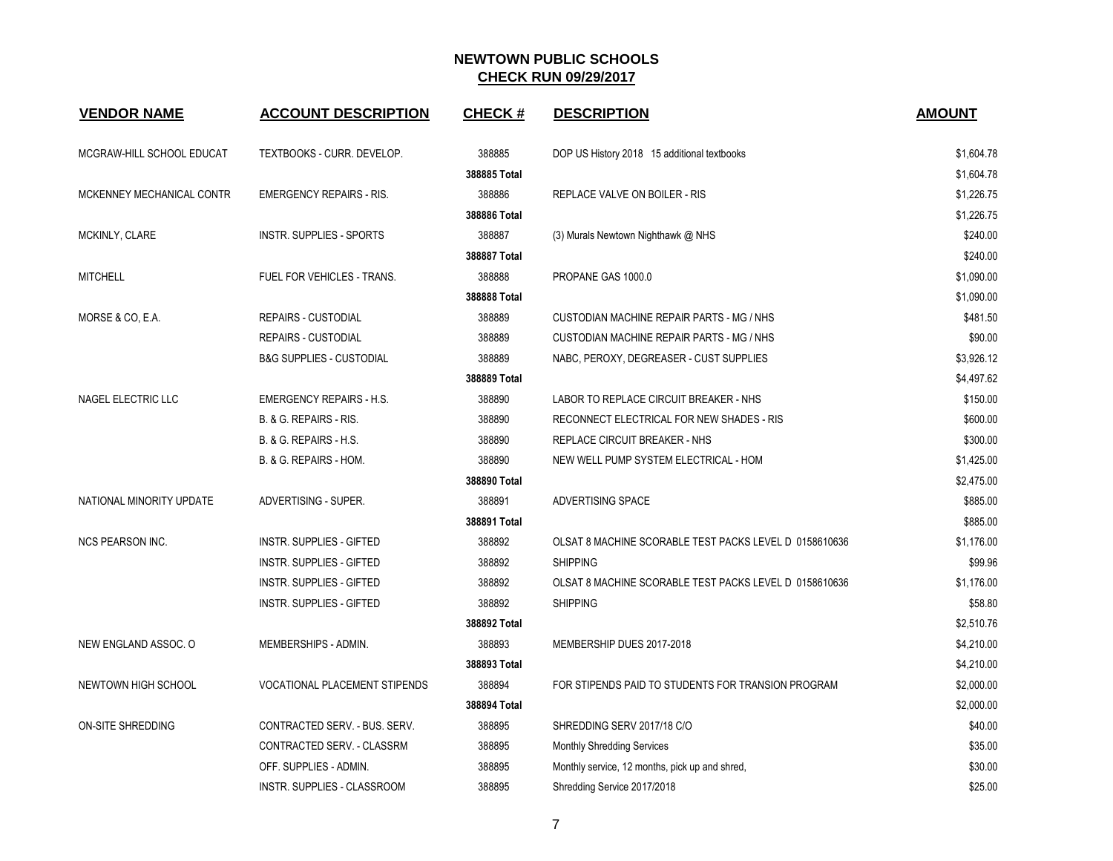| <b>VENDOR NAME</b>        | <b>ACCOUNT DESCRIPTION</b>           | <b>CHECK#</b> | <b>DESCRIPTION</b>                                     | <b>AMOUNT</b> |
|---------------------------|--------------------------------------|---------------|--------------------------------------------------------|---------------|
| MCGRAW-HILL SCHOOL EDUCAT | TEXTBOOKS - CURR. DEVELOP.           | 388885        | DOP US History 2018 15 additional textbooks            | \$1,604.78    |
|                           |                                      | 388885 Total  |                                                        | \$1,604.78    |
| MCKENNEY MECHANICAL CONTR | <b>EMERGENCY REPAIRS - RIS.</b>      | 388886        | REPLACE VALVE ON BOILER - RIS                          | \$1,226.75    |
|                           |                                      | 388886 Total  |                                                        | \$1,226.75    |
| MCKINLY, CLARE            | <b>INSTR. SUPPLIES - SPORTS</b>      | 388887        | (3) Murals Newtown Nighthawk @ NHS                     | \$240.00      |
|                           |                                      | 388887 Total  |                                                        | \$240.00      |
| <b>MITCHELL</b>           | FUEL FOR VEHICLES - TRANS.           | 388888        | PROPANE GAS 1000.0                                     | \$1,090.00    |
|                           |                                      | 388888 Total  |                                                        | \$1,090.00    |
| MORSE & CO, E.A.          | <b>REPAIRS - CUSTODIAL</b>           | 388889        | CUSTODIAN MACHINE REPAIR PARTS - MG / NHS              | \$481.50      |
|                           | <b>REPAIRS - CUSTODIAL</b>           | 388889        | CUSTODIAN MACHINE REPAIR PARTS - MG / NHS              | \$90.00       |
|                           | <b>B&amp;G SUPPLIES - CUSTODIAL</b>  | 388889        | NABC, PEROXY, DEGREASER - CUST SUPPLIES                | \$3,926.12    |
|                           |                                      | 388889 Total  |                                                        | \$4,497.62    |
| NAGEL ELECTRIC LLC        | <b>EMERGENCY REPAIRS - H.S.</b>      | 388890        | LABOR TO REPLACE CIRCUIT BREAKER - NHS                 | \$150.00      |
|                           | B. & G. REPAIRS - RIS.               | 388890        | RECONNECT ELECTRICAL FOR NEW SHADES - RIS              | \$600.00      |
|                           | B. & G. REPAIRS - H.S.               | 388890        | <b>REPLACE CIRCUIT BREAKER - NHS</b>                   | \$300.00      |
|                           | B. & G. REPAIRS - HOM.               | 388890        | NEW WELL PUMP SYSTEM ELECTRICAL - HOM                  | \$1,425.00    |
|                           |                                      | 388890 Total  |                                                        | \$2,475.00    |
| NATIONAL MINORITY UPDATE  | ADVERTISING - SUPER.                 | 388891        | ADVERTISING SPACE                                      | \$885.00      |
|                           |                                      | 388891 Total  |                                                        | \$885.00      |
| <b>NCS PEARSON INC.</b>   | INSTR. SUPPLIES - GIFTED             | 388892        | OLSAT 8 MACHINE SCORABLE TEST PACKS LEVEL D 0158610636 | \$1,176.00    |
|                           | INSTR. SUPPLIES - GIFTED             | 388892        | <b>SHIPPING</b>                                        | \$99.96       |
|                           | INSTR. SUPPLIES - GIFTED             | 388892        | OLSAT 8 MACHINE SCORABLE TEST PACKS LEVEL D 0158610636 | \$1,176.00    |
|                           | <b>INSTR. SUPPLIES - GIFTED</b>      | 388892        | <b>SHIPPING</b>                                        | \$58.80       |
|                           |                                      | 388892 Total  |                                                        | \$2,510.76    |
| NEW ENGLAND ASSOC. O      | MEMBERSHIPS - ADMIN.                 | 388893        | MEMBERSHIP DUES 2017-2018                              | \$4,210.00    |
|                           |                                      | 388893 Total  |                                                        | \$4,210.00    |
| NEWTOWN HIGH SCHOOL       | <b>VOCATIONAL PLACEMENT STIPENDS</b> | 388894        | FOR STIPENDS PAID TO STUDENTS FOR TRANSION PROGRAM     | \$2,000.00    |
|                           |                                      | 388894 Total  |                                                        | \$2,000.00    |
| ON-SITE SHREDDING         | CONTRACTED SERV. - BUS. SERV.        | 388895        | SHREDDING SERV 2017/18 C/O                             | \$40.00       |
|                           | CONTRACTED SERV. - CLASSRM           | 388895        | <b>Monthly Shredding Services</b>                      | \$35.00       |
|                           | OFF. SUPPLIES - ADMIN.               | 388895        | Monthly service, 12 months, pick up and shred,         | \$30.00       |
|                           | <b>INSTR. SUPPLIES - CLASSROOM</b>   | 388895        | Shredding Service 2017/2018                            | \$25.00       |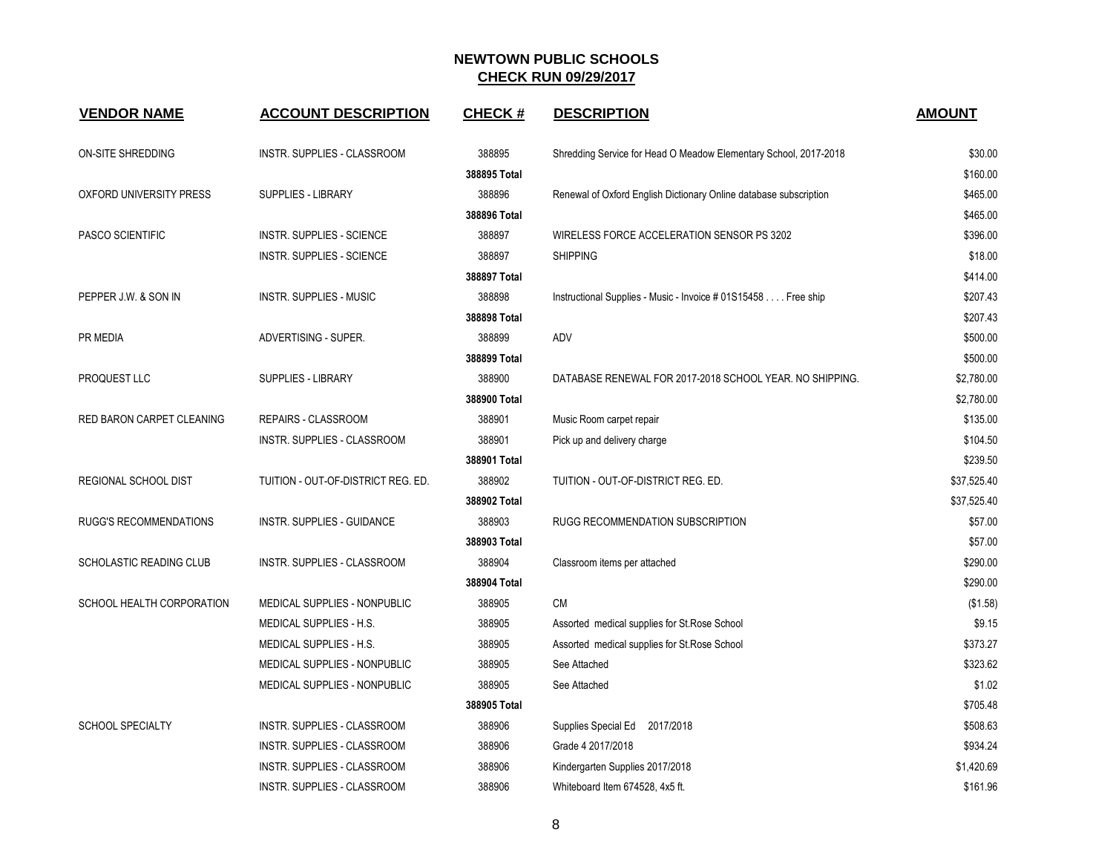| <b>VENDOR NAME</b>        | <b>ACCOUNT DESCRIPTION</b>         | <b>CHECK#</b> | <b>DESCRIPTION</b>                                                | <b>AMOUNT</b> |
|---------------------------|------------------------------------|---------------|-------------------------------------------------------------------|---------------|
| ON-SITE SHREDDING         | INSTR. SUPPLIES - CLASSROOM        | 388895        | Shredding Service for Head O Meadow Elementary School, 2017-2018  | \$30.00       |
|                           |                                    | 388895 Total  |                                                                   | \$160.00      |
| OXFORD UNIVERSITY PRESS   | <b>SUPPLIES - LIBRARY</b>          | 388896        | Renewal of Oxford English Dictionary Online database subscription | \$465.00      |
|                           |                                    | 388896 Total  |                                                                   | \$465.00      |
| <b>PASCO SCIENTIFIC</b>   | <b>INSTR. SUPPLIES - SCIENCE</b>   | 388897        | WIRELESS FORCE ACCELERATION SENSOR PS 3202                        | \$396.00      |
|                           | <b>INSTR. SUPPLIES - SCIENCE</b>   | 388897        | <b>SHIPPING</b>                                                   | \$18.00       |
|                           |                                    | 388897 Total  |                                                                   | \$414.00      |
| PEPPER J.W. & SON IN      | <b>INSTR. SUPPLIES - MUSIC</b>     | 388898        | Instructional Supplies - Music - Invoice # 01S15458 Free ship     | \$207.43      |
|                           |                                    | 388898 Total  |                                                                   | \$207.43      |
| PR MEDIA                  | ADVERTISING - SUPER.               | 388899        | ADV                                                               | \$500.00      |
|                           |                                    | 388899 Total  |                                                                   | \$500.00      |
| PROQUEST LLC              | <b>SUPPLIES - LIBRARY</b>          | 388900        | DATABASE RENEWAL FOR 2017-2018 SCHOOL YEAR. NO SHIPPING.          | \$2,780.00    |
|                           |                                    | 388900 Total  |                                                                   | \$2,780.00    |
| RED BARON CARPET CLEANING | REPAIRS - CLASSROOM                | 388901        | Music Room carpet repair                                          | \$135.00      |
|                           | INSTR. SUPPLIES - CLASSROOM        | 388901        | Pick up and delivery charge                                       | \$104.50      |
|                           |                                    | 388901 Total  |                                                                   | \$239.50      |
| REGIONAL SCHOOL DIST      | TUITION - OUT-OF-DISTRICT REG. ED. | 388902        | TUITION - OUT-OF-DISTRICT REG. ED.                                | \$37,525.40   |
|                           |                                    | 388902 Total  |                                                                   | \$37,525.40   |
| RUGG'S RECOMMENDATIONS    | INSTR. SUPPLIES - GUIDANCE         | 388903        | RUGG RECOMMENDATION SUBSCRIPTION                                  | \$57.00       |
|                           |                                    | 388903 Total  |                                                                   | \$57.00       |
| SCHOLASTIC READING CLUB   | <b>INSTR. SUPPLIES - CLASSROOM</b> | 388904        | Classroom items per attached                                      | \$290.00      |
|                           |                                    | 388904 Total  |                                                                   | \$290.00      |
| SCHOOL HEALTH CORPORATION | MEDICAL SUPPLIES - NONPUBLIC       | 388905        | <b>CM</b>                                                         | (\$1.58)      |
|                           | MEDICAL SUPPLIES - H.S.            | 388905        | Assorted medical supplies for St. Rose School                     | \$9.15        |
|                           | MEDICAL SUPPLIES - H.S.            | 388905        | Assorted medical supplies for St. Rose School                     | \$373.27      |
|                           | MEDICAL SUPPLIES - NONPUBLIC       | 388905        | See Attached                                                      | \$323.62      |
|                           | MEDICAL SUPPLIES - NONPUBLIC       | 388905        | See Attached                                                      | \$1.02        |
|                           |                                    | 388905 Total  |                                                                   | \$705.48      |
| SCHOOL SPECIALTY          | INSTR. SUPPLIES - CLASSROOM        | 388906        | Supplies Special Ed 2017/2018                                     | \$508.63      |
|                           | INSTR. SUPPLIES - CLASSROOM        | 388906        | Grade 4 2017/2018                                                 | \$934.24      |
|                           | INSTR. SUPPLIES - CLASSROOM        | 388906        | Kindergarten Supplies 2017/2018                                   | \$1,420.69    |
|                           | INSTR. SUPPLIES - CLASSROOM        | 388906        | Whiteboard Item 674528, 4x5 ft.                                   | \$161.96      |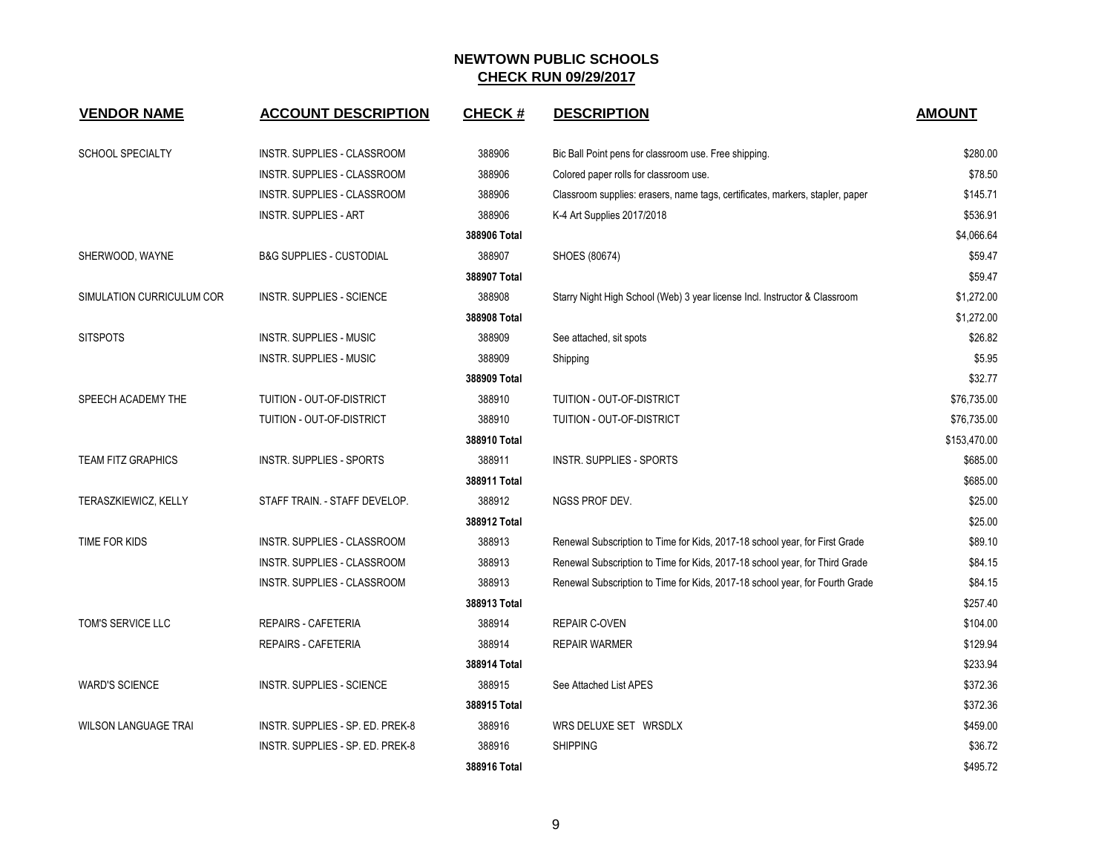| <b>VENDOR NAME</b>          | <b>ACCOUNT DESCRIPTION</b>          | <b>CHECK#</b> | <b>DESCRIPTION</b>                                                            | <b>AMOUNT</b> |
|-----------------------------|-------------------------------------|---------------|-------------------------------------------------------------------------------|---------------|
| SCHOOL SPECIALTY            | INSTR. SUPPLIES - CLASSROOM         | 388906        | Bic Ball Point pens for classroom use. Free shipping.                         | \$280.00      |
|                             | INSTR. SUPPLIES - CLASSROOM         | 388906        | Colored paper rolls for classroom use.                                        | \$78.50       |
|                             | INSTR. SUPPLIES - CLASSROOM         | 388906        | Classroom supplies: erasers, name tags, certificates, markers, stapler, paper | \$145.71      |
|                             | <b>INSTR. SUPPLIES - ART</b>        | 388906        | K-4 Art Supplies 2017/2018                                                    | \$536.91      |
|                             |                                     | 388906 Total  |                                                                               | \$4.066.64    |
| SHERWOOD, WAYNE             | <b>B&amp;G SUPPLIES - CUSTODIAL</b> | 388907        | SHOES (80674)                                                                 | \$59.47       |
|                             |                                     | 388907 Total  |                                                                               | \$59.47       |
| SIMULATION CURRICULUM COR   | <b>INSTR. SUPPLIES - SCIENCE</b>    | 388908        | Starry Night High School (Web) 3 year license Incl. Instructor & Classroom    | \$1,272.00    |
|                             |                                     | 388908 Total  |                                                                               | \$1,272.00    |
| <b>SITSPOTS</b>             | <b>INSTR. SUPPLIES - MUSIC</b>      | 388909        | See attached, sit spots                                                       | \$26.82       |
|                             | <b>INSTR. SUPPLIES - MUSIC</b>      | 388909        | Shipping                                                                      | \$5.95        |
|                             |                                     | 388909 Total  |                                                                               | \$32.77       |
| SPEECH ACADEMY THE          | TUITION - OUT-OF-DISTRICT           | 388910        | TUITION - OUT-OF-DISTRICT                                                     | \$76,735.00   |
|                             | TUITION - OUT-OF-DISTRICT           | 388910        | TUITION - OUT-OF-DISTRICT                                                     | \$76,735.00   |
|                             |                                     | 388910 Total  |                                                                               | \$153,470.00  |
| <b>TEAM FITZ GRAPHICS</b>   | <b>INSTR. SUPPLIES - SPORTS</b>     | 388911        | INSTR. SUPPLIES - SPORTS                                                      | \$685.00      |
|                             |                                     | 388911 Total  |                                                                               | \$685.00      |
| <b>TERASZKIEWICZ, KELLY</b> | STAFF TRAIN. - STAFF DEVELOP.       | 388912        | NGSS PROF DEV.                                                                | \$25.00       |
|                             |                                     | 388912 Total  |                                                                               | \$25.00       |
| TIME FOR KIDS               | INSTR. SUPPLIES - CLASSROOM         | 388913        | Renewal Subscription to Time for Kids, 2017-18 school year, for First Grade   | \$89.10       |
|                             | <b>INSTR. SUPPLIES - CLASSROOM</b>  | 388913        | Renewal Subscription to Time for Kids, 2017-18 school year, for Third Grade   | \$84.15       |
|                             | INSTR. SUPPLIES - CLASSROOM         | 388913        | Renewal Subscription to Time for Kids, 2017-18 school year, for Fourth Grade  | \$84.15       |
|                             |                                     | 388913 Total  |                                                                               | \$257.40      |
| TOM'S SERVICE LLC           | REPAIRS - CAFETERIA                 | 388914        | <b>REPAIR C-OVEN</b>                                                          | \$104.00      |
|                             | REPAIRS - CAFETERIA                 | 388914        | <b>REPAIR WARMER</b>                                                          | \$129.94      |
|                             |                                     | 388914 Total  |                                                                               | \$233.94      |
| <b>WARD'S SCIENCE</b>       | <b>INSTR. SUPPLIES - SCIENCE</b>    | 388915        | See Attached List APES                                                        | \$372.36      |
|                             |                                     | 388915 Total  |                                                                               | \$372.36      |
| <b>WILSON LANGUAGE TRAI</b> | INSTR. SUPPLIES - SP. ED. PREK-8    | 388916        | WRS DELUXE SET WRSDLX                                                         | \$459.00      |
|                             | INSTR. SUPPLIES - SP. ED. PREK-8    | 388916        | <b>SHIPPING</b>                                                               | \$36.72       |
|                             |                                     | 388916 Total  |                                                                               | \$495.72      |